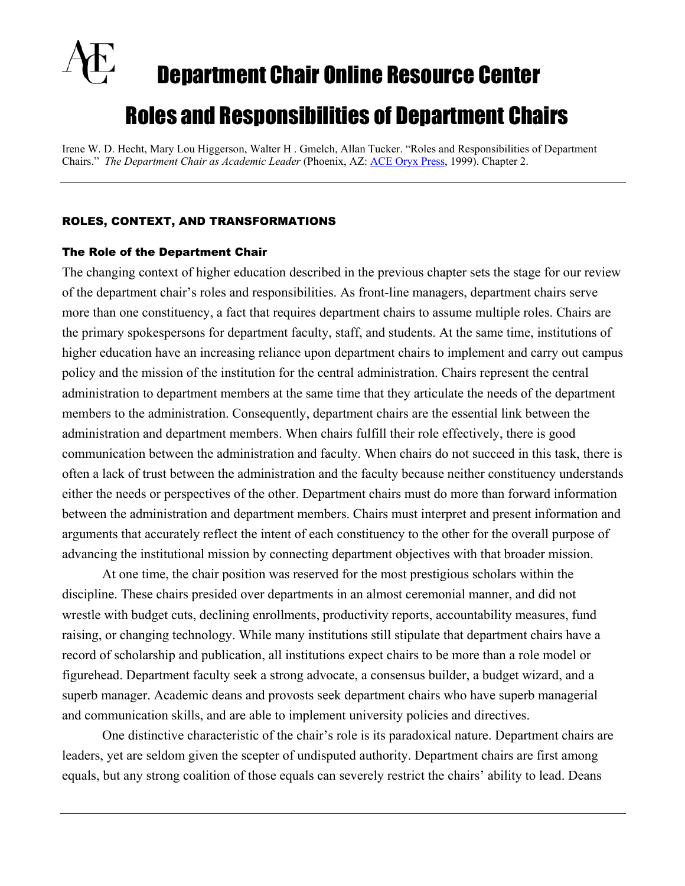# Department Chair Online Resource Center

# Roles and Responsibilities of Department Chairs

Irene W. D. Hecht, Mary Lou Higgerson, Walter H . Gmelch, Allan Tucker. "Roles and Responsibilities of Department Chairs." *The Department Chair as Academic Leader* (Phoenix, AZ: [ACE Oryx](http://www.greenwood.com/imprints/ace.asp) Press, 1999). Chapter 2.

#### ROLES, CONTEXT, AND TRANSFORMATIONS

#### The Role of the Department Chair

The changing context of higher education described in the previous chapter sets the stage for our review of the department chair's roles and responsibilities. As front-line managers, department chairs serve more than one constituency, a fact that requires department chairs to assume multiple roles. Chairs are the primary spokespersons for department faculty, staff, and students. At the same time, institutions of higher education have an increasing reliance upon department chairs to implement and carry out campus policy and the mission of the institution for the central administration. Chairs represent the central administration to department members at the same time that they articulate the needs of the department members to the administration. Consequently, department chairs are the essential link between the administration and department members. When chairs fulfill their role effectively, there is good communication between the administration and faculty. When chairs do not succeed in this task, there is often a lack of trust between the administration and the faculty because neither constituency understands either the needs or perspectives of the other. Department chairs must do more than forward information between the administration and department members. Chairs must interpret and present information and arguments that accurately reflect the intent of each constituency to the other for the overall purpose of advancing the institutional mission by connecting department objectives with that broader mission.

At one time, the chair position was reserved for the most prestigious scholars within the discipline. These chairs presided over departments in an almost ceremonial manner, and did not wrestle with budget cuts, declining enrollments, productivity reports, accountability measures, fund raising, or changing technology. While many institutions still stipulate that department chairs have a record of scholarship and publication, all institutions expect chairs to be more than a role model or figurehead. Department faculty seek a strong advocate, a consensus builder, a budget wizard, and a superb manager. Academic deans and provosts seek department chairs who have superb managerial and communication skills, and are able to implement university policies and directives.

One distinctive characteristic of the chair's role is its paradoxical nature. Department chairs are leaders, yet are seldom given the scepter of undisputed authority. Department chairs are first among equals, but any strong coalition of those equals can severely restrict the chairs' ability to lead. Deans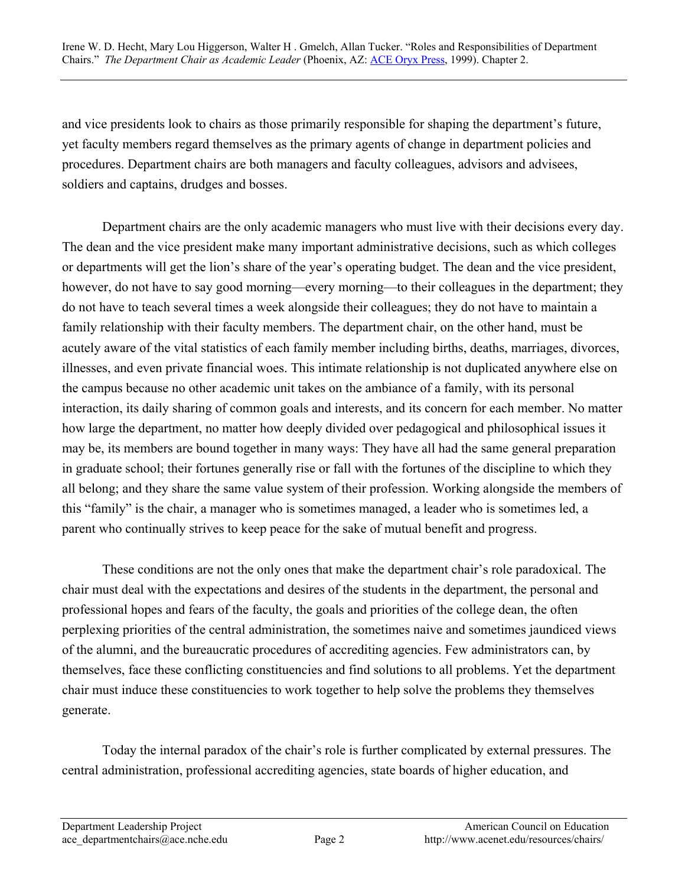and vice presidents look to chairs as those primarily responsible for shaping the department's future, yet faculty members regard themselves as the primary agents of change in department policies and procedures. Department chairs are both managers and faculty colleagues, advisors and advisees, soldiers and captains, drudges and bosses.

Department chairs are the only academic managers who must live with their decisions every day. The dean and the vice president make many important administrative decisions, such as which colleges or departments will get the lion's share of the year's operating budget. The dean and the vice president, however, do not have to say good morning—every morning—to their colleagues in the department; they do not have to teach several times a week alongside their colleagues; they do not have to maintain a family relationship with their faculty members. The department chair, on the other hand, must be acutely aware of the vital statistics of each family member including births, deaths, marriages, divorces, illnesses, and even private financial woes. This intimate relationship is not duplicated anywhere else on the campus because no other academic unit takes on the ambiance of a family, with its personal interaction, its daily sharing of common goals and interests, and its concern for each member. No matter how large the department, no matter how deeply divided over pedagogical and philosophical issues it may be, its members are bound together in many ways: They have all had the same general preparation in graduate school; their fortunes generally rise or fall with the fortunes of the discipline to which they all belong; and they share the same value system of their profession. Working alongside the members of this "family" is the chair, a manager who is sometimes managed, a leader who is sometimes led, a parent who continually strives to keep peace for the sake of mutual benefit and progress.

These conditions are not the only ones that make the department chair's role paradoxical. The chair must deal with the expectations and desires of the students in the department, the personal and professional hopes and fears of the faculty, the goals and priorities of the college dean, the often perplexing priorities of the central administration, the sometimes naive and sometimes jaundiced views of the alumni, and the bureaucratic procedures of accrediting agencies. Few administrators can, by themselves, face these conflicting constituencies and find solutions to all problems. Yet the department chair must induce these constituencies to work together to help solve the problems they themselves generate.

Today the internal paradox of the chair's role is further complicated by external pressures. The central administration, professional accrediting agencies, state boards of higher education, and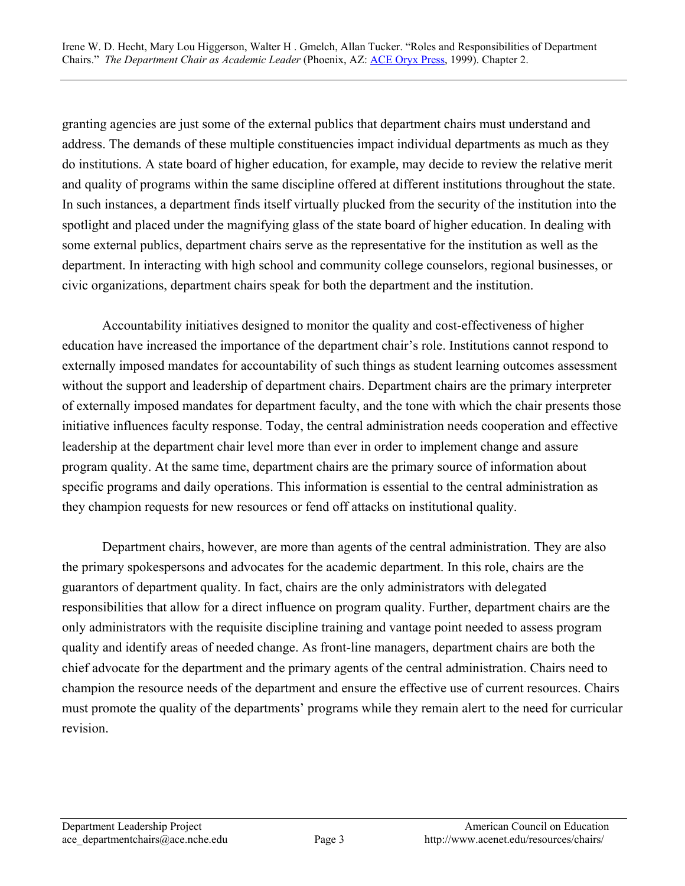granting agencies are just some of the external publics that department chairs must understand and address. The demands of these multiple constituencies impact individual departments as much as they do institutions. A state board of higher education, for example, may decide to review the relative merit and quality of programs within the same discipline offered at different institutions throughout the state. In such instances, a department finds itself virtually plucked from the security of the institution into the spotlight and placed under the magnifying glass of the state board of higher education. In dealing with some external publics, department chairs serve as the representative for the institution as well as the department. In interacting with high school and community college counselors, regional businesses, or civic organizations, department chairs speak for both the department and the institution.

Accountability initiatives designed to monitor the quality and cost-effectiveness of higher education have increased the importance of the department chair's role. Institutions cannot respond to externally imposed mandates for accountability of such things as student learning outcomes assessment without the support and leadership of department chairs. Department chairs are the primary interpreter of externally imposed mandates for department faculty, and the tone with which the chair presents those initiative influences faculty response. Today, the central administration needs cooperation and effective leadership at the department chair level more than ever in order to implement change and assure program quality. At the same time, department chairs are the primary source of information about specific programs and daily operations. This information is essential to the central administration as they champion requests for new resources or fend off attacks on institutional quality.

Department chairs, however, are more than agents of the central administration. They are also the primary spokespersons and advocates for the academic department. In this role, chairs are the guarantors of department quality. In fact, chairs are the only administrators with delegated responsibilities that allow for a direct influence on program quality. Further, department chairs are the only administrators with the requisite discipline training and vantage point needed to assess program quality and identify areas of needed change. As front-line managers, department chairs are both the chief advocate for the department and the primary agents of the central administration. Chairs need to champion the resource needs of the department and ensure the effective use of current resources. Chairs must promote the quality of the departments' programs while they remain alert to the need for curricular revision.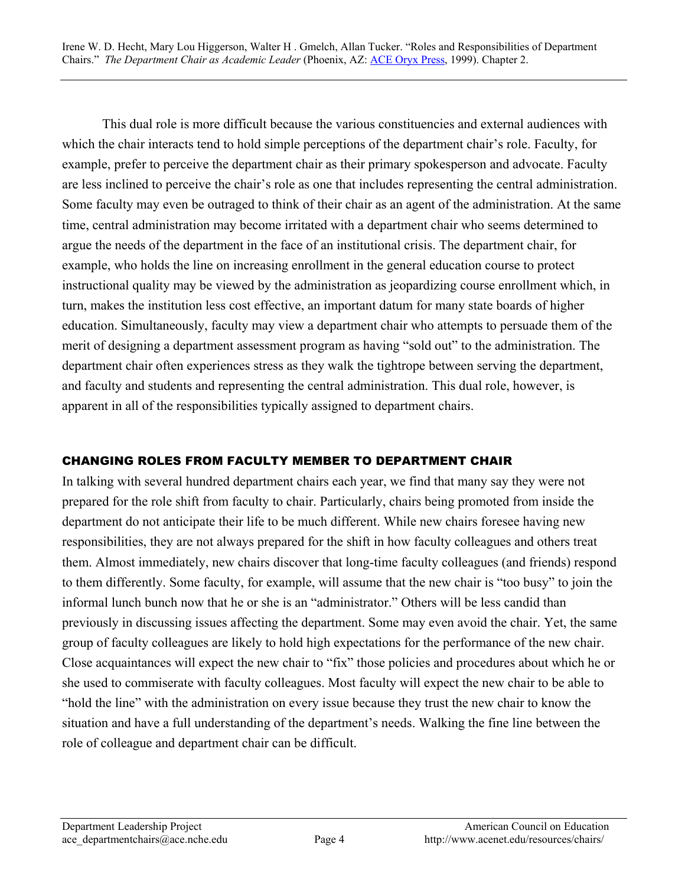This dual role is more difficult because the various constituencies and external audiences with which the chair interacts tend to hold simple perceptions of the department chair's role. Faculty, for example, prefer to perceive the department chair as their primary spokesperson and advocate. Faculty are less inclined to perceive the chair's role as one that includes representing the central administration. Some faculty may even be outraged to think of their chair as an agent of the administration. At the same time, central administration may become irritated with a department chair who seems determined to argue the needs of the department in the face of an institutional crisis. The department chair, for example, who holds the line on increasing enrollment in the general education course to protect instructional quality may be viewed by the administration as jeopardizing course enrollment which, in turn, makes the institution less cost effective, an important datum for many state boards of higher education. Simultaneously, faculty may view a department chair who attempts to persuade them of the merit of designing a department assessment program as having "sold out" to the administration. The department chair often experiences stress as they walk the tightrope between serving the department, and faculty and students and representing the central administration. This dual role, however, is apparent in all of the responsibilities typically assigned to department chairs.

# CHANGING ROLES FROM FACULTY MEMBER TO DEPARTMENT CHAIR

In talking with several hundred department chairs each year, we find that many say they were not prepared for the role shift from faculty to chair. Particularly, chairs being promoted from inside the department do not anticipate their life to be much different. While new chairs foresee having new responsibilities, they are not always prepared for the shift in how faculty colleagues and others treat them. Almost immediately, new chairs discover that long-time faculty colleagues (and friends) respond to them differently. Some faculty, for example, will assume that the new chair is "too busy" to join the informal lunch bunch now that he or she is an "administrator." Others will be less candid than previously in discussing issues affecting the department. Some may even avoid the chair. Yet, the same group of faculty colleagues are likely to hold high expectations for the performance of the new chair. Close acquaintances will expect the new chair to "fix" those policies and procedures about which he or she used to commiserate with faculty colleagues. Most faculty will expect the new chair to be able to "hold the line" with the administration on every issue because they trust the new chair to know the situation and have a full understanding of the department's needs. Walking the fine line between the role of colleague and department chair can be difficult.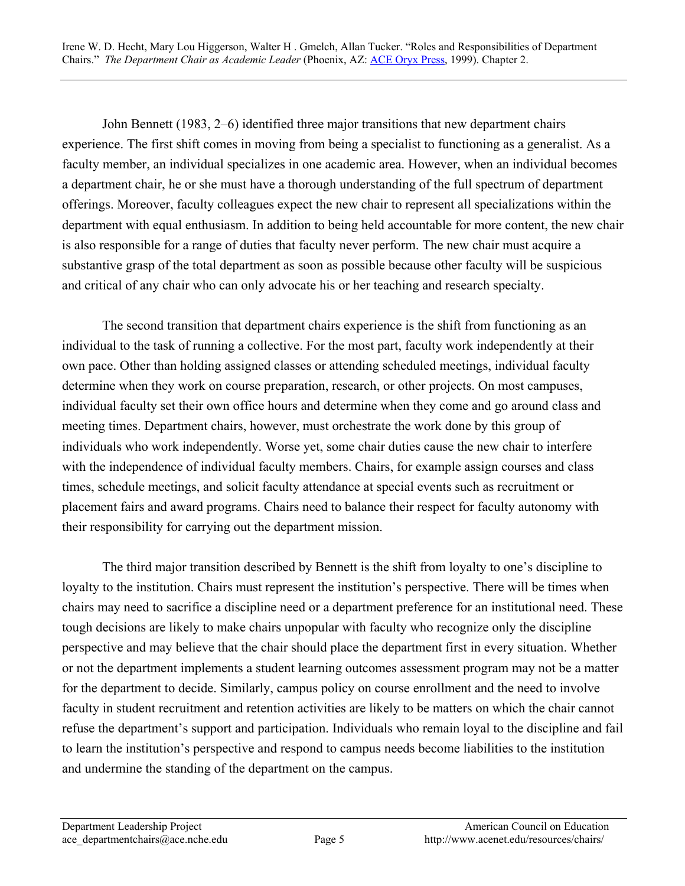John Bennett (1983, 2–6) identified three major transitions that new department chairs experience. The first shift comes in moving from being a specialist to functioning as a generalist. As a faculty member, an individual specializes in one academic area. However, when an individual becomes a department chair, he or she must have a thorough understanding of the full spectrum of department offerings. Moreover, faculty colleagues expect the new chair to represent all specializations within the department with equal enthusiasm. In addition to being held accountable for more content, the new chair is also responsible for a range of duties that faculty never perform. The new chair must acquire a substantive grasp of the total department as soon as possible because other faculty will be suspicious and critical of any chair who can only advocate his or her teaching and research specialty.

The second transition that department chairs experience is the shift from functioning as an individual to the task of running a collective. For the most part, faculty work independently at their own pace. Other than holding assigned classes or attending scheduled meetings, individual faculty determine when they work on course preparation, research, or other projects. On most campuses, individual faculty set their own office hours and determine when they come and go around class and meeting times. Department chairs, however, must orchestrate the work done by this group of individuals who work independently. Worse yet, some chair duties cause the new chair to interfere with the independence of individual faculty members. Chairs, for example assign courses and class times, schedule meetings, and solicit faculty attendance at special events such as recruitment or placement fairs and award programs. Chairs need to balance their respect for faculty autonomy with their responsibility for carrying out the department mission.

The third major transition described by Bennett is the shift from loyalty to one's discipline to loyalty to the institution. Chairs must represent the institution's perspective. There will be times when chairs may need to sacrifice a discipline need or a department preference for an institutional need. These tough decisions are likely to make chairs unpopular with faculty who recognize only the discipline perspective and may believe that the chair should place the department first in every situation. Whether or not the department implements a student learning outcomes assessment program may not be a matter for the department to decide. Similarly, campus policy on course enrollment and the need to involve faculty in student recruitment and retention activities are likely to be matters on which the chair cannot refuse the department's support and participation. Individuals who remain loyal to the discipline and fail to learn the institution's perspective and respond to campus needs become liabilities to the institution and undermine the standing of the department on the campus.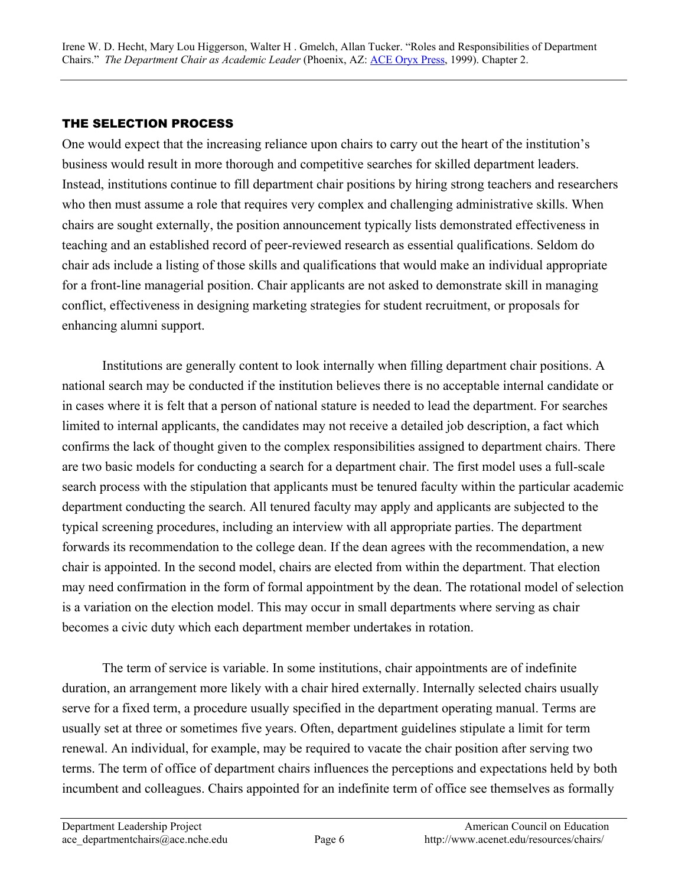# THE SELECTION PROCESS

One would expect that the increasing reliance upon chairs to carry out the heart of the institution's business would result in more thorough and competitive searches for skilled department leaders. Instead, institutions continue to fill department chair positions by hiring strong teachers and researchers who then must assume a role that requires very complex and challenging administrative skills. When chairs are sought externally, the position announcement typically lists demonstrated effectiveness in teaching and an established record of peer-reviewed research as essential qualifications. Seldom do chair ads include a listing of those skills and qualifications that would make an individual appropriate for a front-line managerial position. Chair applicants are not asked to demonstrate skill in managing conflict, effectiveness in designing marketing strategies for student recruitment, or proposals for enhancing alumni support.

Institutions are generally content to look internally when filling department chair positions. A national search may be conducted if the institution believes there is no acceptable internal candidate or in cases where it is felt that a person of national stature is needed to lead the department. For searches limited to internal applicants, the candidates may not receive a detailed job description, a fact which confirms the lack of thought given to the complex responsibilities assigned to department chairs. There are two basic models for conducting a search for a department chair. The first model uses a full-scale search process with the stipulation that applicants must be tenured faculty within the particular academic department conducting the search. All tenured faculty may apply and applicants are subjected to the typical screening procedures, including an interview with all appropriate parties. The department forwards its recommendation to the college dean. If the dean agrees with the recommendation, a new chair is appointed. In the second model, chairs are elected from within the department. That election may need confirmation in the form of formal appointment by the dean. The rotational model of selection is a variation on the election model. This may occur in small departments where serving as chair becomes a civic duty which each department member undertakes in rotation.

The term of service is variable. In some institutions, chair appointments are of indefinite duration, an arrangement more likely with a chair hired externally. Internally selected chairs usually serve for a fixed term, a procedure usually specified in the department operating manual. Terms are usually set at three or sometimes five years. Often, department guidelines stipulate a limit for term renewal. An individual, for example, may be required to vacate the chair position after serving two terms. The term of office of department chairs influences the perceptions and expectations held by both incumbent and colleagues. Chairs appointed for an indefinite term of office see themselves as formally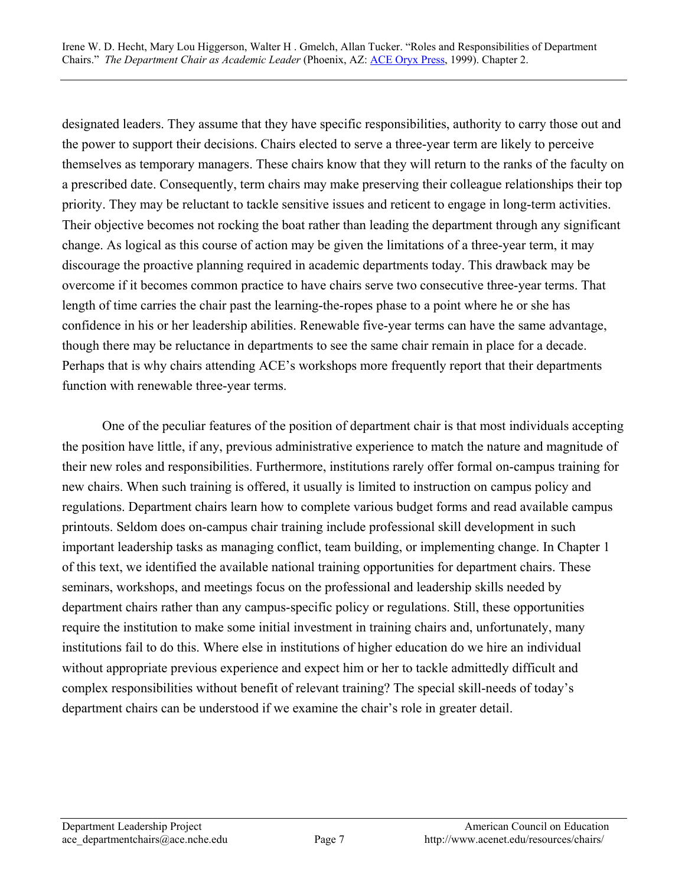designated leaders. They assume that they have specific responsibilities, authority to carry those out and the power to support their decisions. Chairs elected to serve a three-year term are likely to perceive themselves as temporary managers. These chairs know that they will return to the ranks of the faculty on a prescribed date. Consequently, term chairs may make preserving their colleague relationships their top priority. They may be reluctant to tackle sensitive issues and reticent to engage in long-term activities. Their objective becomes not rocking the boat rather than leading the department through any significant change. As logical as this course of action may be given the limitations of a three-year term, it may discourage the proactive planning required in academic departments today. This drawback may be overcome if it becomes common practice to have chairs serve two consecutive three-year terms. That length of time carries the chair past the learning-the-ropes phase to a point where he or she has confidence in his or her leadership abilities. Renewable five-year terms can have the same advantage, though there may be reluctance in departments to see the same chair remain in place for a decade. Perhaps that is why chairs attending ACE's workshops more frequently report that their departments function with renewable three-year terms.

One of the peculiar features of the position of department chair is that most individuals accepting the position have little, if any, previous administrative experience to match the nature and magnitude of their new roles and responsibilities. Furthermore, institutions rarely offer formal on-campus training for new chairs. When such training is offered, it usually is limited to instruction on campus policy and regulations. Department chairs learn how to complete various budget forms and read available campus printouts. Seldom does on-campus chair training include professional skill development in such important leadership tasks as managing conflict, team building, or implementing change. In Chapter 1 of this text, we identified the available national training opportunities for department chairs. These seminars, workshops, and meetings focus on the professional and leadership skills needed by department chairs rather than any campus-specific policy or regulations. Still, these opportunities require the institution to make some initial investment in training chairs and, unfortunately, many institutions fail to do this. Where else in institutions of higher education do we hire an individual without appropriate previous experience and expect him or her to tackle admittedly difficult and complex responsibilities without benefit of relevant training? The special skill-needs of today's department chairs can be understood if we examine the chair's role in greater detail.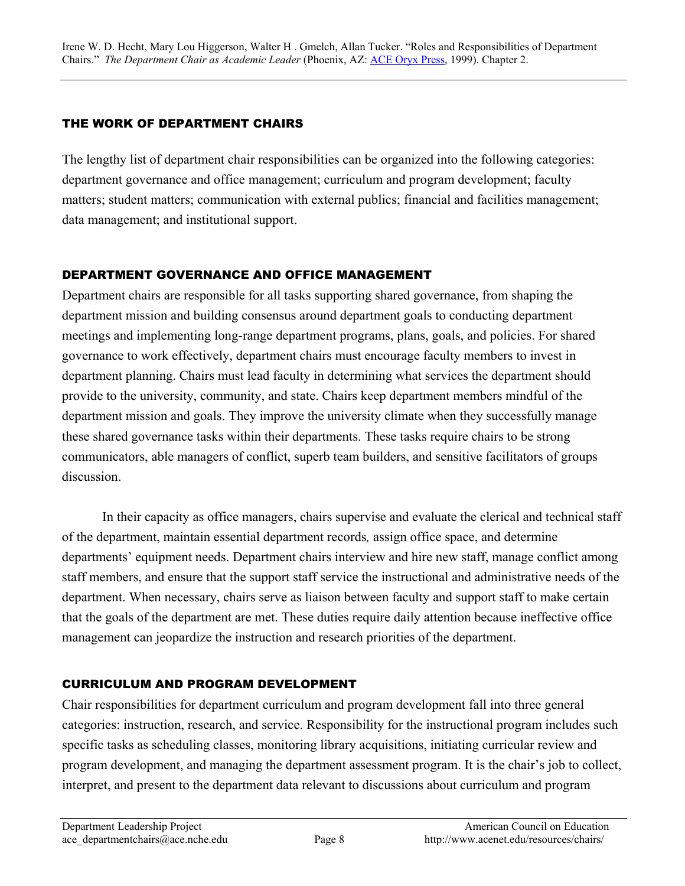# THE WORK OF DEPARTMENT CHAIRS

The lengthy list of department chair responsibilities can be organized into the following categories: department governance and office management; curriculum and program development; faculty matters; student matters; communication with external publics; financial and facilities management; data management; and institutional support.

#### DEPARTMENT GOVERNANCE AND OFFICE MANAGEMENT

Department chairs are responsible for all tasks supporting shared governance, from shaping the department mission and building consensus around department goals to conducting department meetings and implementing long-range department programs, plans, goals, and policies. For shared governance to work effectively, department chairs must encourage faculty members to invest in department planning. Chairs must lead faculty in determining what services the department should provide to the university, community, and state. Chairs keep department members mindful of the department mission and goals. They improve the university climate when they successfully manage these shared governance tasks within their departments. These tasks require chairs to be strong communicators, able managers of conflict, superb team builders, and sensitive facilitators of groups discussion.

In their capacity as office managers, chairs supervise and evaluate the clerical and technical staff of the department, maintain essential department records*,* assign office space, and determine departments' equipment needs. Department chairs interview and hire new staff, manage conflict among staff members, and ensure that the support staff service the instructional and administrative needs of the department. When necessary, chairs serve as liaison between faculty and support staff to make certain that the goals of the department are met. These duties require daily attention because ineffective office management can jeopardize the instruction and research priorities of the department.

# CURRICULUM AND PROGRAM DEVELOPMENT

Chair responsibilities for department curriculum and program development fall into three general categories: instruction, research, and service. Responsibility for the instructional program includes such specific tasks as scheduling classes, monitoring library acquisitions, initiating curricular review and program development, and managing the department assessment program. It is the chair's job to collect, interpret, and present to the department data relevant to discussions about curriculum and program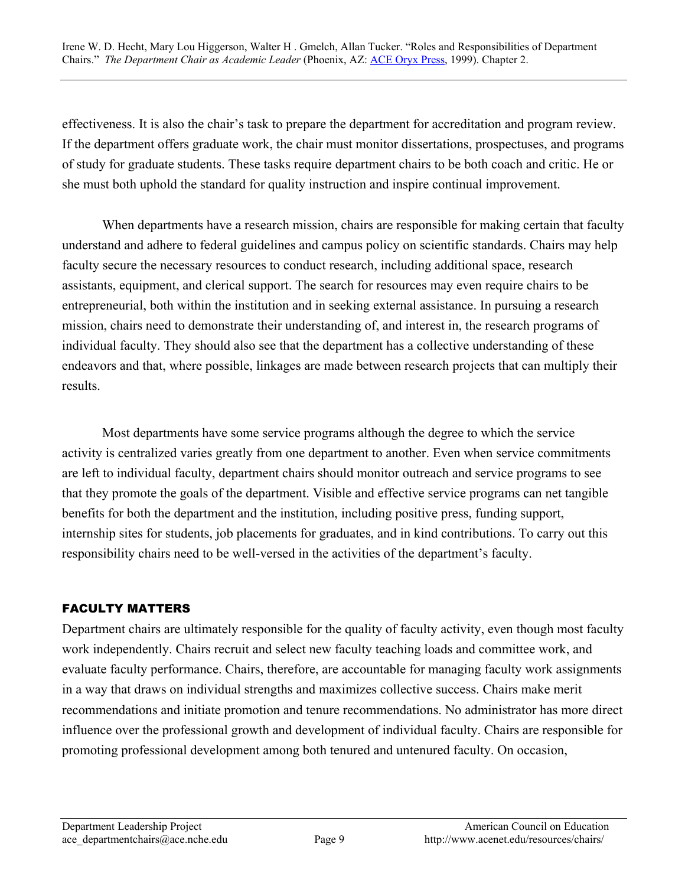effectiveness. It is also the chair's task to prepare the department for accreditation and program review. If the department offers graduate work, the chair must monitor dissertations, prospectuses, and programs of study for graduate students. These tasks require department chairs to be both coach and critic. He or she must both uphold the standard for quality instruction and inspire continual improvement.

When departments have a research mission, chairs are responsible for making certain that faculty understand and adhere to federal guidelines and campus policy on scientific standards. Chairs may help faculty secure the necessary resources to conduct research, including additional space, research assistants, equipment, and clerical support. The search for resources may even require chairs to be entrepreneurial, both within the institution and in seeking external assistance. In pursuing a research mission, chairs need to demonstrate their understanding of, and interest in, the research programs of individual faculty. They should also see that the department has a collective understanding of these endeavors and that, where possible, linkages are made between research projects that can multiply their results.

Most departments have some service programs although the degree to which the service activity is centralized varies greatly from one department to another. Even when service commitments are left to individual faculty, department chairs should monitor outreach and service programs to see that they promote the goals of the department. Visible and effective service programs can net tangible benefits for both the department and the institution, including positive press, funding support, internship sites for students, job placements for graduates, and in kind contributions. To carry out this responsibility chairs need to be well-versed in the activities of the department's faculty.

# FACULTY MATTERS

Department chairs are ultimately responsible for the quality of faculty activity, even though most faculty work independently. Chairs recruit and select new faculty teaching loads and committee work, and evaluate faculty performance. Chairs, therefore, are accountable for managing faculty work assignments in a way that draws on individual strengths and maximizes collective success. Chairs make merit recommendations and initiate promotion and tenure recommendations. No administrator has more direct influence over the professional growth and development of individual faculty. Chairs are responsible for promoting professional development among both tenured and untenured faculty. On occasion,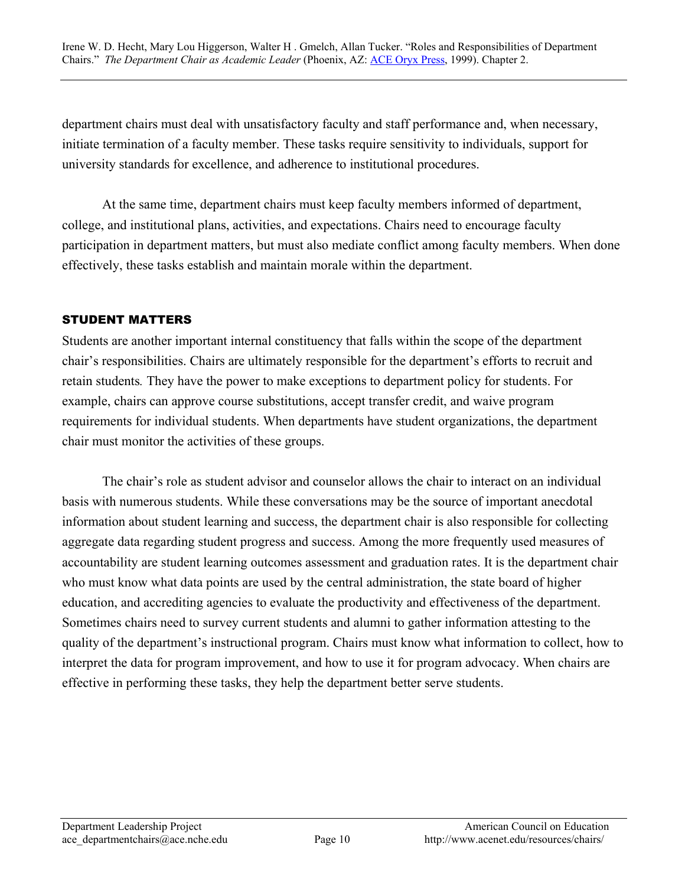department chairs must deal with unsatisfactory faculty and staff performance and, when necessary, initiate termination of a faculty member. These tasks require sensitivity to individuals, support for university standards for excellence, and adherence to institutional procedures.

At the same time, department chairs must keep faculty members informed of department, college, and institutional plans, activities, and expectations. Chairs need to encourage faculty participation in department matters, but must also mediate conflict among faculty members. When done effectively, these tasks establish and maintain morale within the department.

# STUDENT MATTERS

Students are another important internal constituency that falls within the scope of the department chair's responsibilities. Chairs are ultimately responsible for the department's efforts to recruit and retain students*.* They have the power to make exceptions to department policy for students. For example, chairs can approve course substitutions, accept transfer credit, and waive program requirements for individual students. When departments have student organizations, the department chair must monitor the activities of these groups.

The chair's role as student advisor and counselor allows the chair to interact on an individual basis with numerous students. While these conversations may be the source of important anecdotal information about student learning and success, the department chair is also responsible for collecting aggregate data regarding student progress and success. Among the more frequently used measures of accountability are student learning outcomes assessment and graduation rates. It is the department chair who must know what data points are used by the central administration, the state board of higher education, and accrediting agencies to evaluate the productivity and effectiveness of the department. Sometimes chairs need to survey current students and alumni to gather information attesting to the quality of the department's instructional program. Chairs must know what information to collect, how to interpret the data for program improvement, and how to use it for program advocacy. When chairs are effective in performing these tasks, they help the department better serve students.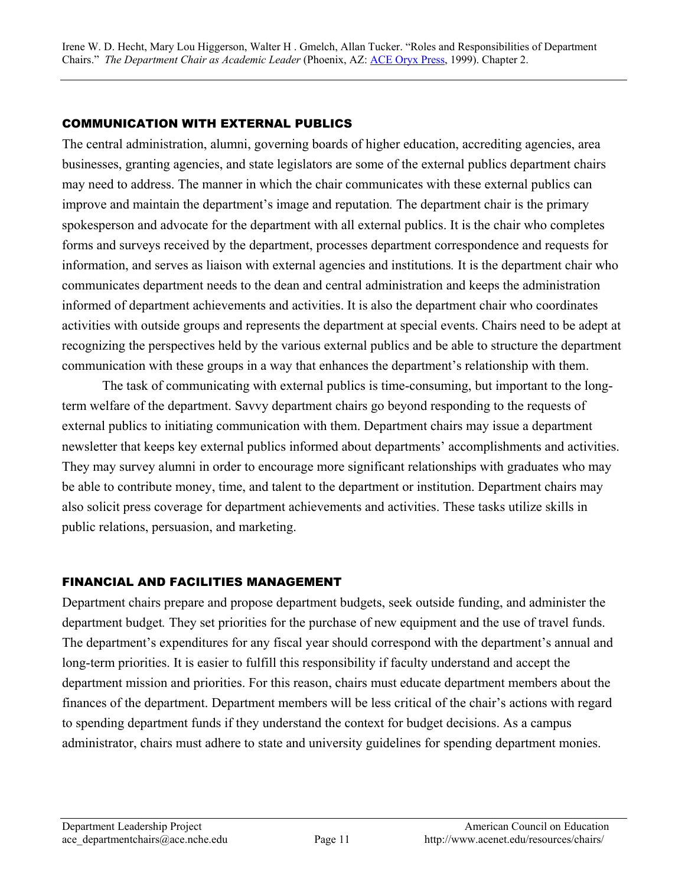#### COMMUNICATION WITH EXTERNAL PUBLICS

The central administration, alumni, governing boards of higher education, accrediting agencies, area businesses, granting agencies, and state legislators are some of the external publics department chairs may need to address. The manner in which the chair communicates with these external publics can improve and maintain the department's image and reputation*.* The department chair is the primary spokesperson and advocate for the department with all external publics. It is the chair who completes forms and surveys received by the department, processes department correspondence and requests for information, and serves as liaison with external agencies and institutions*.* It is the department chair who communicates department needs to the dean and central administration and keeps the administration informed of department achievements and activities. It is also the department chair who coordinates activities with outside groups and represents the department at special events. Chairs need to be adept at recognizing the perspectives held by the various external publics and be able to structure the department communication with these groups in a way that enhances the department's relationship with them.

The task of communicating with external publics is time-consuming, but important to the longterm welfare of the department. Savvy department chairs go beyond responding to the requests of external publics to initiating communication with them. Department chairs may issue a department newsletter that keeps key external publics informed about departments' accomplishments and activities. They may survey alumni in order to encourage more significant relationships with graduates who may be able to contribute money, time, and talent to the department or institution. Department chairs may also solicit press coverage for department achievements and activities. These tasks utilize skills in public relations, persuasion, and marketing.

#### FINANCIAL AND FACILITIES MANAGEMENT

Department chairs prepare and propose department budgets, seek outside funding, and administer the department budget*.* They set priorities for the purchase of new equipment and the use of travel funds. The department's expenditures for any fiscal year should correspond with the department's annual and long-term priorities. It is easier to fulfill this responsibility if faculty understand and accept the department mission and priorities. For this reason, chairs must educate department members about the finances of the department. Department members will be less critical of the chair's actions with regard to spending department funds if they understand the context for budget decisions. As a campus administrator, chairs must adhere to state and university guidelines for spending department monies.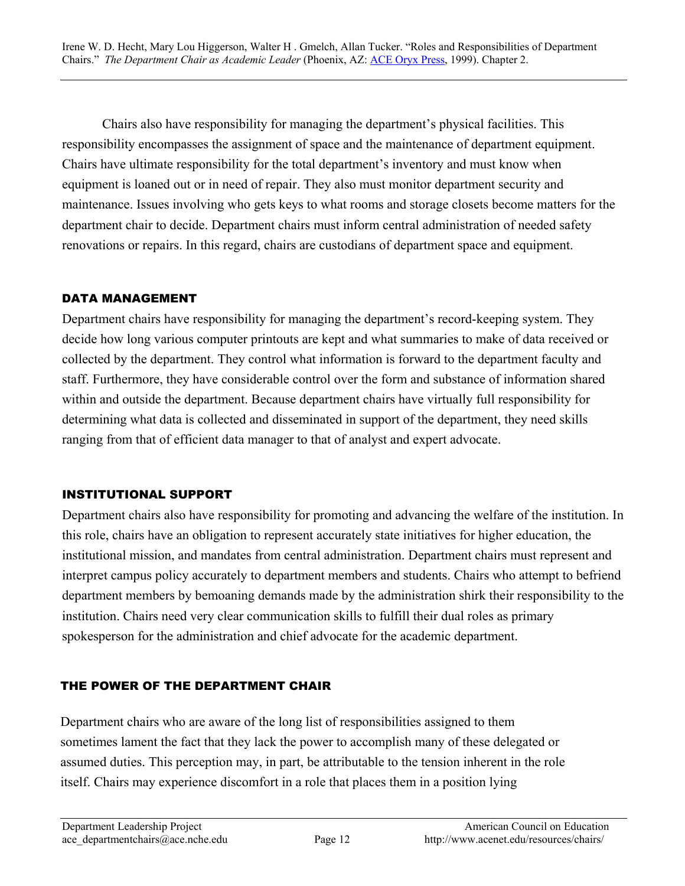Chairs also have responsibility for managing the department's physical facilities. This responsibility encompasses the assignment of space and the maintenance of department equipment. Chairs have ultimate responsibility for the total department's inventory and must know when equipment is loaned out or in need of repair. They also must monitor department security and maintenance. Issues involving who gets keys to what rooms and storage closets become matters for the department chair to decide. Department chairs must inform central administration of needed safety renovations or repairs. In this regard, chairs are custodians of department space and equipment.

# DATA MANAGEMENT

Department chairs have responsibility for managing the department's record-keeping system. They decide how long various computer printouts are kept and what summaries to make of data received or collected by the department. They control what information is forward to the department faculty and staff. Furthermore, they have considerable control over the form and substance of information shared within and outside the department. Because department chairs have virtually full responsibility for determining what data is collected and disseminated in support of the department, they need skills ranging from that of efficient data manager to that of analyst and expert advocate.

# INSTITUTIONAL SUPPORT

Department chairs also have responsibility for promoting and advancing the welfare of the institution. In this role, chairs have an obligation to represent accurately state initiatives for higher education, the institutional mission, and mandates from central administration. Department chairs must represent and interpret campus policy accurately to department members and students. Chairs who attempt to befriend department members by bemoaning demands made by the administration shirk their responsibility to the institution. Chairs need very clear communication skills to fulfill their dual roles as primary spokesperson for the administration and chief advocate for the academic department.

# THE POWER OF THE DEPARTMENT CHAIR

Department chairs who are aware of the long list of responsibilities assigned to them sometimes lament the fact that they lack the power to accomplish many of these delegated or assumed duties. This perception may, in part, be attributable to the tension inherent in the role itself. Chairs may experience discomfort in a role that places them in a position lying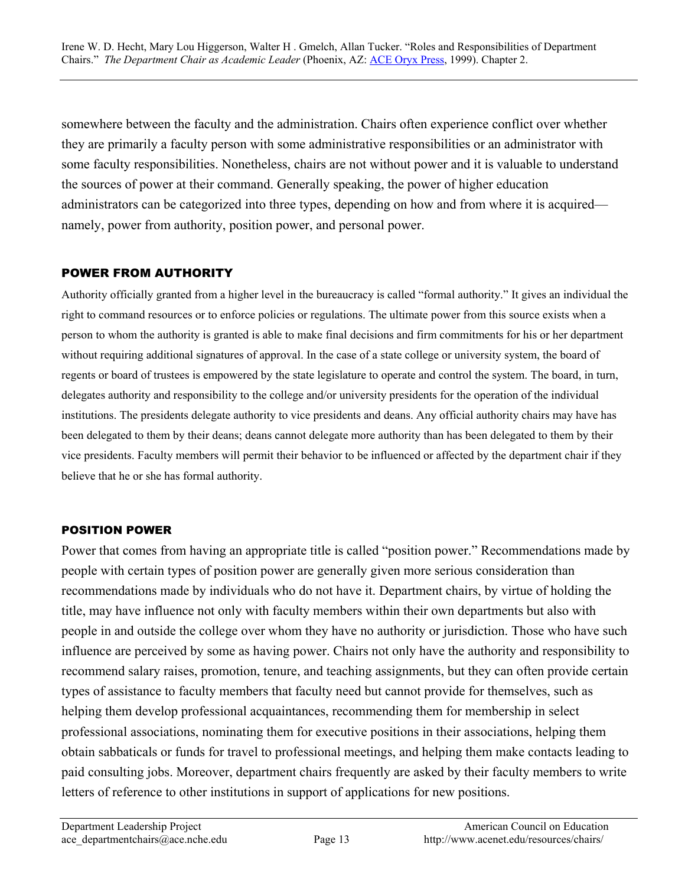somewhere between the faculty and the administration. Chairs often experience conflict over whether they are primarily a faculty person with some administrative responsibilities or an administrator with some faculty responsibilities. Nonetheless, chairs are not without power and it is valuable to understand the sources of power at their command. Generally speaking, the power of higher education administrators can be categorized into three types, depending on how and from where it is acquired namely, power from authority, position power, and personal power.

#### POWER FROM AUTHORITY

Authority officially granted from a higher level in the bureaucracy is called "formal authority." It gives an individual the right to command resources or to enforce policies or regulations. The ultimate power from this source exists when a person to whom the authority is granted is able to make final decisions and firm commitments for his or her department without requiring additional signatures of approval. In the case of a state college or university system, the board of regents or board of trustees is empowered by the state legislature to operate and control the system. The board, in turn, delegates authority and responsibility to the college and/or university presidents for the operation of the individual institutions. The presidents delegate authority to vice presidents and deans. Any official authority chairs may have has been delegated to them by their deans; deans cannot delegate more authority than has been delegated to them by their vice presidents. Faculty members will permit their behavior to be influenced or affected by the department chair if they believe that he or she has formal authority.

#### POSITION POWER

Power that comes from having an appropriate title is called "position power." Recommendations made by people with certain types of position power are generally given more serious consideration than recommendations made by individuals who do not have it. Department chairs, by virtue of holding the title, may have influence not only with faculty members within their own departments but also with people in and outside the college over whom they have no authority or jurisdiction. Those who have such influence are perceived by some as having power. Chairs not only have the authority and responsibility to recommend salary raises, promotion, tenure, and teaching assignments, but they can often provide certain types of assistance to faculty members that faculty need but cannot provide for themselves, such as helping them develop professional acquaintances, recommending them for membership in select professional associations, nominating them for executive positions in their associations, helping them obtain sabbaticals or funds for travel to professional meetings, and helping them make contacts leading to paid consulting jobs. Moreover, department chairs frequently are asked by their faculty members to write letters of reference to other institutions in support of applications for new positions.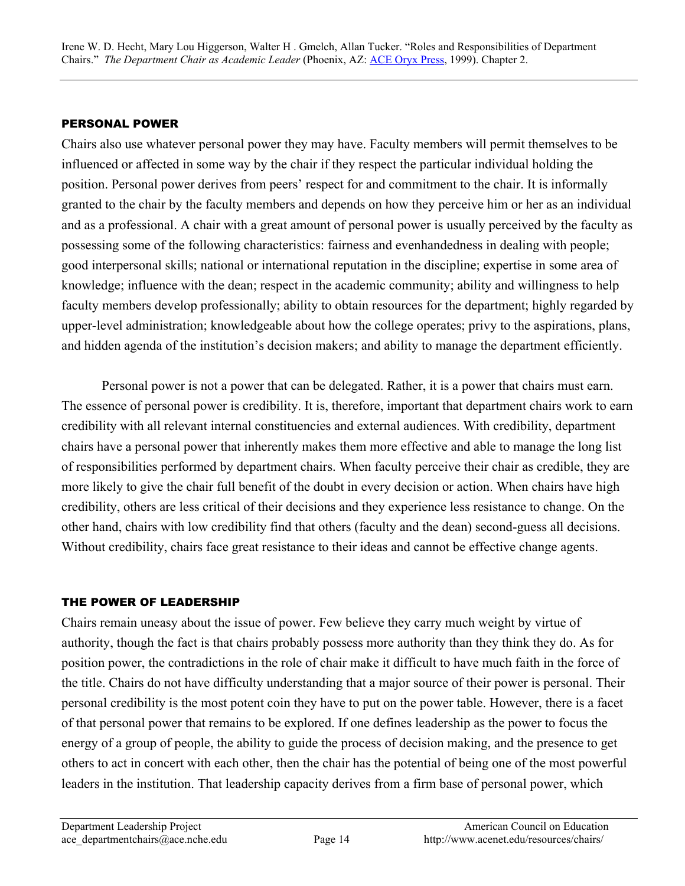#### PERSONAL POWER

Chairs also use whatever personal power they may have. Faculty members will permit themselves to be influenced or affected in some way by the chair if they respect the particular individual holding the position. Personal power derives from peers' respect for and commitment to the chair. It is informally granted to the chair by the faculty members and depends on how they perceive him or her as an individual and as a professional. A chair with a great amount of personal power is usually perceived by the faculty as possessing some of the following characteristics: fairness and evenhandedness in dealing with people; good interpersonal skills; national or international reputation in the discipline; expertise in some area of knowledge; influence with the dean; respect in the academic community; ability and willingness to help faculty members develop professionally; ability to obtain resources for the department; highly regarded by upper-level administration; knowledgeable about how the college operates; privy to the aspirations, plans, and hidden agenda of the institution's decision makers; and ability to manage the department efficiently.

Personal power is not a power that can be delegated. Rather, it is a power that chairs must earn. The essence of personal power is credibility. It is, therefore, important that department chairs work to earn credibility with all relevant internal constituencies and external audiences. With credibility, department chairs have a personal power that inherently makes them more effective and able to manage the long list of responsibilities performed by department chairs. When faculty perceive their chair as credible, they are more likely to give the chair full benefit of the doubt in every decision or action. When chairs have high credibility, others are less critical of their decisions and they experience less resistance to change. On the other hand, chairs with low credibility find that others (faculty and the dean) second-guess all decisions. Without credibility, chairs face great resistance to their ideas and cannot be effective change agents.

#### THE POWER OF LEADERSHIP

Chairs remain uneasy about the issue of power. Few believe they carry much weight by virtue of authority, though the fact is that chairs probably possess more authority than they think they do. As for position power, the contradictions in the role of chair make it difficult to have much faith in the force of the title. Chairs do not have difficulty understanding that a major source of their power is personal. Their personal credibility is the most potent coin they have to put on the power table. However, there is a facet of that personal power that remains to be explored. If one defines leadership as the power to focus the energy of a group of people, the ability to guide the process of decision making, and the presence to get others to act in concert with each other, then the chair has the potential of being one of the most powerful leaders in the institution. That leadership capacity derives from a firm base of personal power, which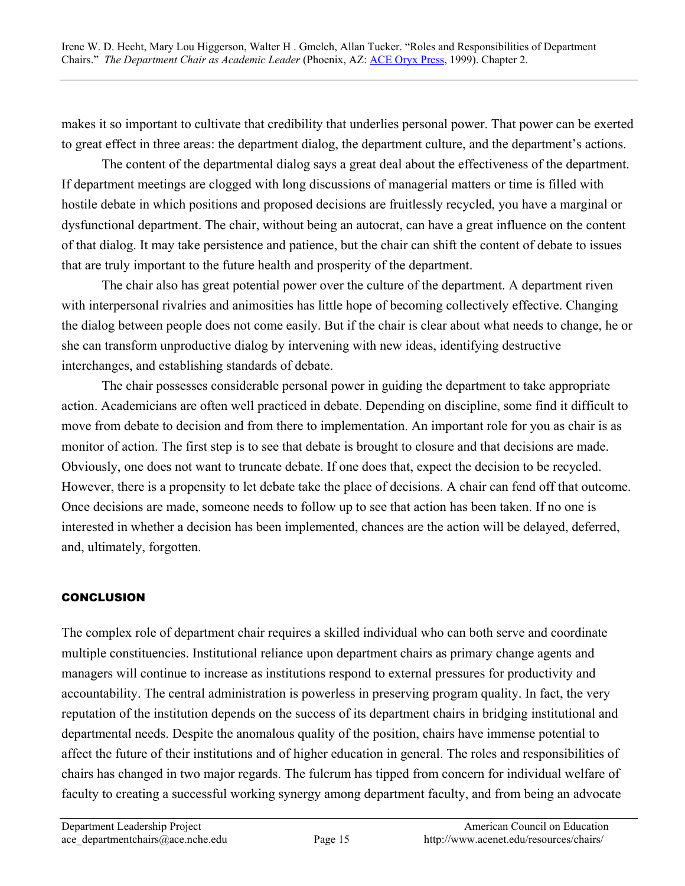makes it so important to cultivate that credibility that underlies personal power. That power can be exerted to great effect in three areas: the department dialog, the department culture, and the department's actions.

The content of the departmental dialog says a great deal about the effectiveness of the department. If department meetings are clogged with long discussions of managerial matters or time is filled with hostile debate in which positions and proposed decisions are fruitlessly recycled, you have a marginal or dysfunctional department. The chair, without being an autocrat, can have a great influence on the content of that dialog. It may take persistence and patience, but the chair can shift the content of debate to issues that are truly important to the future health and prosperity of the department.

The chair also has great potential power over the culture of the department. A department riven with interpersonal rivalries and animosities has little hope of becoming collectively effective. Changing the dialog between people does not come easily. But if the chair is clear about what needs to change, he or she can transform unproductive dialog by intervening with new ideas, identifying destructive interchanges, and establishing standards of debate.

The chair possesses considerable personal power in guiding the department to take appropriate action. Academicians are often well practiced in debate. Depending on discipline, some find it difficult to move from debate to decision and from there to implementation. An important role for you as chair is as monitor of action. The first step is to see that debate is brought to closure and that decisions are made. Obviously, one does not want to truncate debate. If one does that, expect the decision to be recycled. However, there is a propensity to let debate take the place of decisions. A chair can fend off that outcome. Once decisions are made, someone needs to follow up to see that action has been taken. If no one is interested in whether a decision has been implemented, chances are the action will be delayed, deferred, and, ultimately, forgotten.

# **CONCLUSION**

The complex role of department chair requires a skilled individual who can both serve and coordinate multiple constituencies. Institutional reliance upon department chairs as primary change agents and managers will continue to increase as institutions respond to external pressures for productivity and accountability. The central administration is powerless in preserving program quality. In fact, the very reputation of the institution depends on the success of its department chairs in bridging institutional and departmental needs. Despite the anomalous quality of the position, chairs have immense potential to affect the future of their institutions and of higher education in general. The roles and responsibilities of chairs has changed in two major regards. The fulcrum has tipped from concern for individual welfare of faculty to creating a successful working synergy among department faculty, and from being an advocate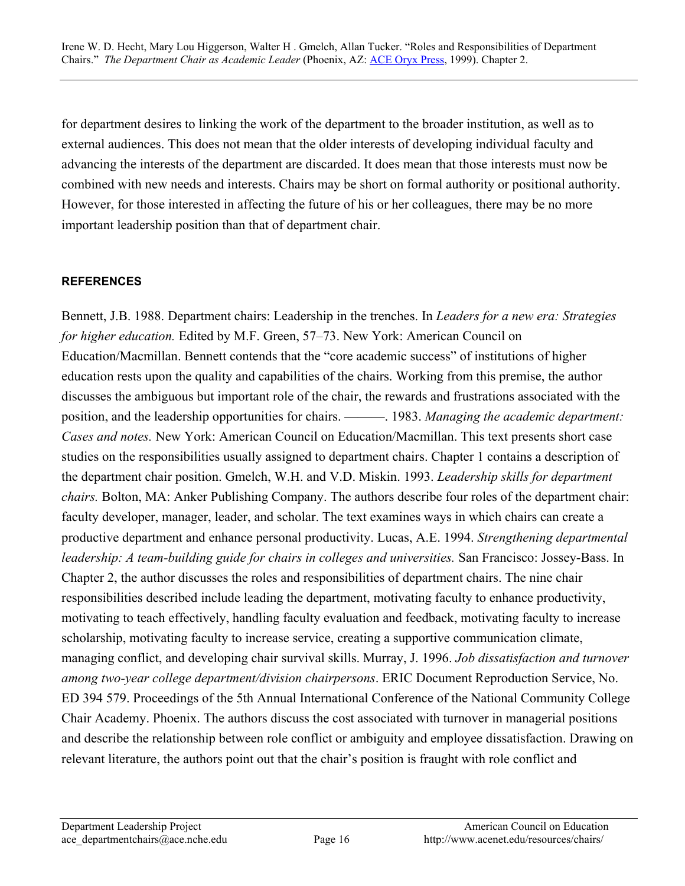for department desires to linking the work of the department to the broader institution, as well as to external audiences. This does not mean that the older interests of developing individual faculty and advancing the interests of the department are discarded. It does mean that those interests must now be combined with new needs and interests. Chairs may be short on formal authority or positional authority. However, for those interested in affecting the future of his or her colleagues, there may be no more important leadership position than that of department chair.

#### **REFERENCES**

Bennett, J.B. 1988. Department chairs: Leadership in the trenches. In *Leaders for a new era: Strategies for higher education.* Edited by M.F. Green, 57–73. New York: American Council on Education/Macmillan. Bennett contends that the "core academic success" of institutions of higher education rests upon the quality and capabilities of the chairs. Working from this premise, the author discusses the ambiguous but important role of the chair, the rewards and frustrations associated with the position, and the leadership opportunities for chairs. ———. 1983. *Managing the academic department: Cases and notes.* New York: American Council on Education/Macmillan. This text presents short case studies on the responsibilities usually assigned to department chairs. Chapter 1 contains a description of the department chair position. Gmelch, W.H. and V.D. Miskin. 1993. *Leadership skills for department chairs.* Bolton, MA: Anker Publishing Company. The authors describe four roles of the department chair: faculty developer, manager, leader, and scholar. The text examines ways in which chairs can create a productive department and enhance personal productivity. Lucas, A.E. 1994. *Strengthening departmental leadership: A team-building guide for chairs in colleges and universities.* San Francisco: Jossey-Bass. In Chapter 2, the author discusses the roles and responsibilities of department chairs. The nine chair responsibilities described include leading the department, motivating faculty to enhance productivity, motivating to teach effectively, handling faculty evaluation and feedback, motivating faculty to increase scholarship, motivating faculty to increase service, creating a supportive communication climate, managing conflict, and developing chair survival skills. Murray, J. 1996. *Job dissatisfaction and turnover among two-year college department/division chairpersons*. ERIC Document Reproduction Service, No. ED 394 579. Proceedings of the 5th Annual International Conference of the National Community College Chair Academy. Phoenix. The authors discuss the cost associated with turnover in managerial positions and describe the relationship between role conflict or ambiguity and employee dissatisfaction. Drawing on relevant literature, the authors point out that the chair's position is fraught with role conflict and